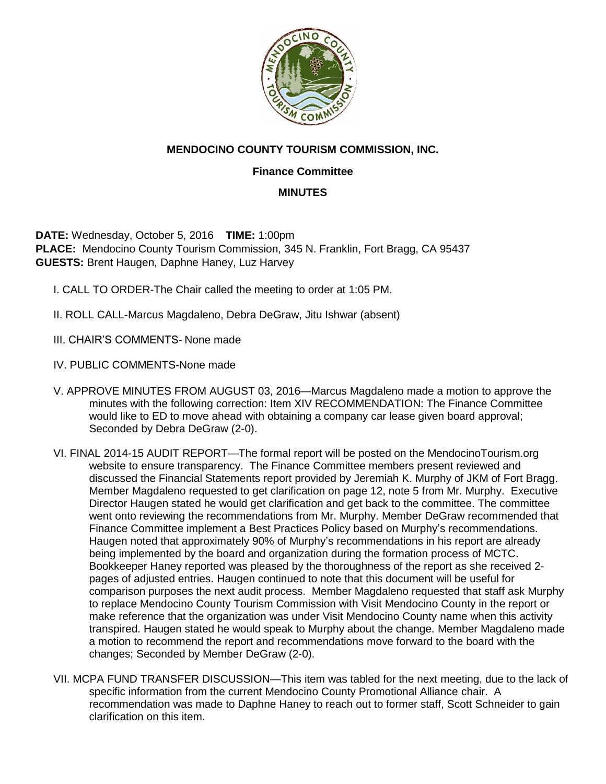

## **MENDOCINO COUNTY TOURISM COMMISSION, INC.**

## **Finance Committee**

## **MINUTES**

**DATE:** Wednesday, October 5, 2016 **TIME:** 1:00pm **PLACE:** Mendocino County Tourism Commission, 345 N. Franklin, Fort Bragg, CA 95437 **GUESTS:** Brent Haugen, Daphne Haney, Luz Harvey

- I. CALL TO ORDER-The Chair called the meeting to order at 1:05 PM.
- II. ROLL CALL-Marcus Magdaleno, Debra DeGraw, Jitu Ishwar (absent)
- III. CHAIR'S COMMENTS- None made
- IV. PUBLIC COMMENTS-None made
- V. APPROVE MINUTES FROM AUGUST 03, 2016—Marcus Magdaleno made a motion to approve the minutes with the following correction: Item XIV RECOMMENDATION: The Finance Committee would like to ED to move ahead with obtaining a company car lease given board approval; Seconded by Debra DeGraw (2-0).
- VI. FINAL 2014-15 AUDIT REPORT—The formal report will be posted on the MendocinoTourism.org website to ensure transparency. The Finance Committee members present reviewed and discussed the Financial Statements report provided by Jeremiah K. Murphy of JKM of Fort Bragg. Member Magdaleno requested to get clarification on page 12, note 5 from Mr. Murphy. Executive Director Haugen stated he would get clarification and get back to the committee. The committee went onto reviewing the recommendations from Mr. Murphy. Member DeGraw recommended that Finance Committee implement a Best Practices Policy based on Murphy's recommendations. Haugen noted that approximately 90% of Murphy's recommendations in his report are already being implemented by the board and organization during the formation process of MCTC. Bookkeeper Haney reported was pleased by the thoroughness of the report as she received 2 pages of adjusted entries. Haugen continued to note that this document will be useful for comparison purposes the next audit process. Member Magdaleno requested that staff ask Murphy to replace Mendocino County Tourism Commission with Visit Mendocino County in the report or make reference that the organization was under Visit Mendocino County name when this activity transpired. Haugen stated he would speak to Murphy about the change. Member Magdaleno made a motion to recommend the report and recommendations move forward to the board with the changes; Seconded by Member DeGraw (2-0).
- VII. MCPA FUND TRANSFER DISCUSSION—This item was tabled for the next meeting, due to the lack of specific information from the current Mendocino County Promotional Alliance chair. A recommendation was made to Daphne Haney to reach out to former staff, Scott Schneider to gain clarification on this item.